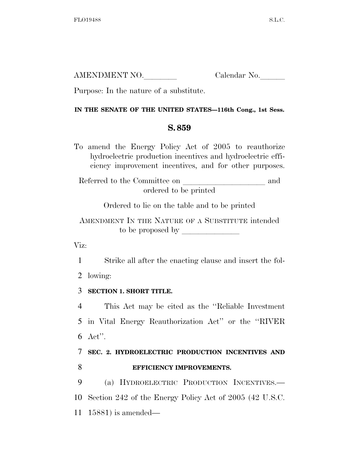| AMENDMENT NO. | Calendar No. |
|---------------|--------------|
|               |              |

Purpose: In the nature of a substitute.

## **IN THE SENATE OF THE UNITED STATES—116th Cong., 1st Sess.**

## **S. 859**

To amend the Energy Policy Act of 2005 to reauthorize hydroelectric production incentives and hydroelectric efficiency improvement incentives, and for other purposes.

Referred to the Committee on and ordered to be printed

Ordered to lie on the table and to be printed

AMENDMENT IN THE NATURE OF A SUBSTITUTE intended to be proposed by  $\overline{\phantom{a}}$ 

Viz:

1 Strike all after the enacting clause and insert the fol-

2 lowing:

## 3 **SECTION 1. SHORT TITLE.**

4 This Act may be cited as the ''Reliable Investment 5 in Vital Energy Reauthorization Act'' or the ''RIVER 6 Act''.

## 7 **SEC. 2. HYDROELECTRIC PRODUCTION INCENTIVES AND**  8 **EFFICIENCY IMPROVEMENTS.**

9 (a) HYDROELECTRIC PRODUCTION INCENTIVES.— 10 Section 242 of the Energy Policy Act of 2005 (42 U.S.C. 11 15881) is amended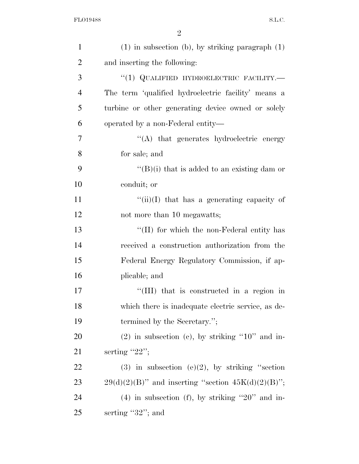2

| $\mathbf{1}$   | $(1)$ in subsection (b), by striking paragraph $(1)$     |
|----------------|----------------------------------------------------------|
| $\overline{2}$ | and inserting the following:                             |
| 3              | "(1) QUALIFIED HYDROELECTRIC FACILITY.                   |
| $\overline{4}$ | The term 'qualified hydroelectric facility' means a      |
| 5              | turbine or other generating device owned or solely       |
| 6              | operated by a non-Federal entity—                        |
| 7              | "(A) that generates hydroelectric energy                 |
| 8              | for sale; and                                            |
| 9              | " $(B)(i)$ that is added to an existing dam or           |
| 10             | conduit; or                                              |
| 11             | " $(iii)(I)$ that has a generating capacity of           |
| 12             | not more than 10 megawatts;                              |
| 13             | "(II) for which the non-Federal entity has               |
| 14             | received a construction authorization from the           |
| 15             | Federal Energy Regulatory Commission, if ap-             |
| 16             | plicable; and                                            |
| 17             | "(III) that is constructed in a region in                |
| 18             | which there is inadequate electric service, as de-       |
| 19             | termined by the Secretary.";                             |
| <b>20</b>      | $(2)$ in subsection (c), by striking "10" and in-        |
| 21             | serting " $22$ ";                                        |
| 22             | $(3)$ in subsection $(e)(2)$ , by striking "section      |
| 23             | $29(d)(2)(B)$ " and inserting "section $45K(d)(2)(B)$ "; |
| 24             | $(4)$ in subsection (f), by striking "20" and in-        |
| 25             | serting $"32"$ ; and                                     |